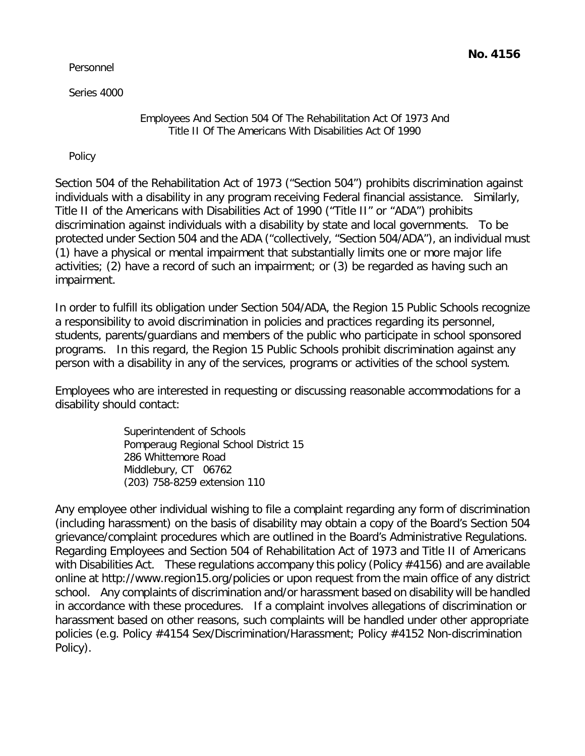Personnel

Series 4000

Employees And Section 504 Of The Rehabilitation Act Of 1973 And Title II Of The Americans With Disabilities Act Of 1990

Policy

Section 504 of the Rehabilitation Act of 1973 ("Section 504") prohibits discrimination against individuals with a disability in any program receiving Federal financial assistance. Similarly, Title II of the Americans with Disabilities Act of 1990 ("Title II" or "ADA") prohibits discrimination against individuals with a disability by state and local governments. To be protected under Section 504 and the ADA ("collectively, "Section 504/ADA"), an individual must (1) have a physical or mental impairment that substantially limits one or more major life activities; (2) have a record of such an impairment; or (3) be regarded as having such an impairment.

In order to fulfill its obligation under Section 504/ADA, the Region 15 Public Schools recognize a responsibility to avoid discrimination in policies and practices regarding its personnel, students, parents/guardians and members of the public who participate in school sponsored programs. In this regard, the Region 15 Public Schools prohibit discrimination against any person with a disability in any of the services, programs or activities of the school system.

Employees who are interested in requesting or discussing reasonable accommodations for a disability should contact:

> Superintendent of Schools Pomperaug Regional School District 15 286 Whittemore Road Middlebury, CT 06762 (203) 758-8259 extension 110

Any employee other individual wishing to file a complaint regarding any form of discrimination (including harassment) on the basis of disability may obtain a copy of the Board's Section 504 grievance/complaint procedures which are outlined in the Board's Administrative Regulations. Regarding Employees and Section 504 of Rehabilitation Act of 1973 and Title II of Americans with Disabilities Act. These regulations accompany this policy (Policy #4156) and are available online at<http://www.region15.org/policies> or upon request from the main office of any district school. Any complaints of discrimination and/or harassment based on disability will be handled in accordance with these procedures. If a complaint involves allegations of discrimination or harassment based on other reasons, such complaints will be handled under other appropriate policies (e.g. Policy #4154 Sex/Discrimination/Harassment; Policy #4152 Non-discrimination Policy).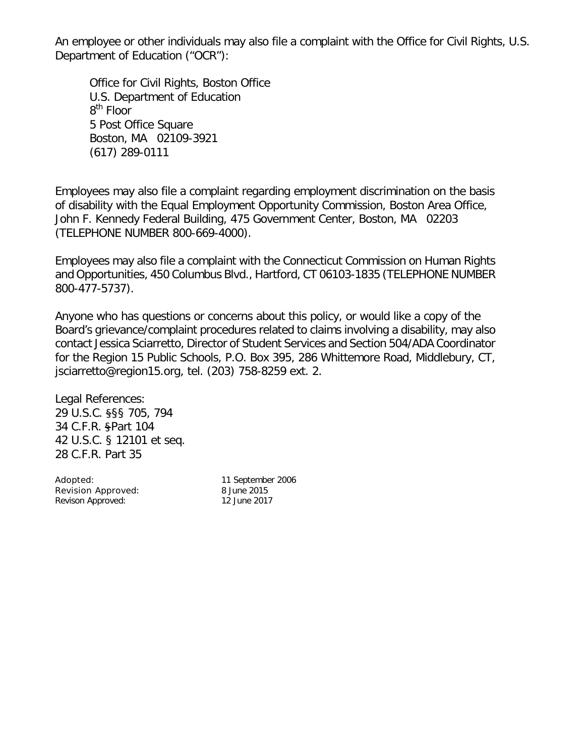An employee or other individuals may also file a complaint with the Office for Civil Rights, U.S. Department of Education ("OCR"):

Office for Civil Rights, Boston Office U.S. Department of Education 8<sup>th</sup> Floor 5 Post Office Square Boston, MA 02109-3921 (617) 289-0111

Employees may also file a complaint regarding employment discrimination on the basis of disability with the Equal Employment Opportunity Commission, Boston Area Office, John F. Kennedy Federal Building, 475 Government Center, Boston, MA 02203 (TELEPHONE NUMBER 800-669-4000).

Employees may also file a complaint with the Connecticut Commission on Human Rights and Opportunities, 450 Columbus Blvd., Hartford, CT 06103-1835 (TELEPHONE NUMBER 800-477-5737).

Anyone who has questions or concerns about this policy, or would like a copy of the Board's grievance/complaint procedures related to claims involving a disability, may also contact Jessica Sciarretto, Director of Student Services and Section 504/ADA Coordinator for the Region 15 Public Schools, P.O. Box 395, 286 Whittemore Road, Middlebury, CT, [jsciarretto@region15.org,](mailto:jsciarretto@region15.org) tel. (203) 758-8259 ext. 2.

Legal References: 29 U.S.C. §§§ 705, 794 34 C.F.R. §Part 104 42 U.S.C. § 12101 et seq. 28 C.F.R. Part 35

Adopted: 11 September 2006 Revision Approved: 8 June 2015 Revison Approved: 12 June 2017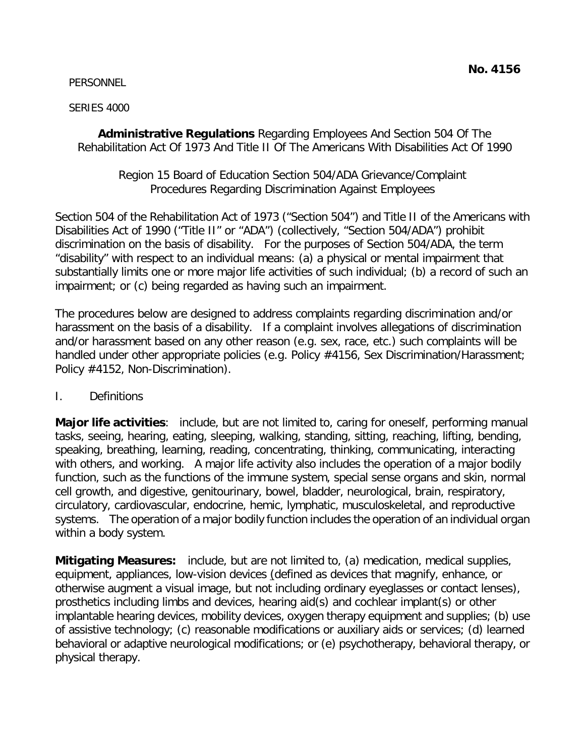PERSONNEL

### SERIES 4000

**Administrative Regulations** Regarding Employees And Section 504 Of The Rehabilitation Act Of 1973 And Title II Of The Americans With Disabilities Act Of 1990

## Region 15 Board of Education Section 504/ADA Grievance/Complaint Procedures Regarding Discrimination Against Employees

Section 504 of the Rehabilitation Act of 1973 ("Section 504") and Title II of the Americans with Disabilities Act of 1990 ("Title II" or "ADA") (collectively, "Section 504/ADA") prohibit discrimination on the basis of disability. For the purposes of Section 504/ADA, the term "disability" with respect to an individual means: (a) a physical or mental impairment that substantially limits one or more major life activities of such individual; (b) a record of such an impairment; or (c) being regarded as having such an impairment.

The procedures below are designed to address complaints regarding discrimination and/or harassment on the basis of a disability. If a complaint involves allegations of discrimination and/or harassment based on any other reason (e.g. sex, race, etc.) such complaints will be handled under other appropriate policies (e.g. Policy #4156, Sex Discrimination/Harassment; Policy #4152, Non-Discrimination).

# I. Definitions

**Major life activities**: include, but are not limited to, caring for oneself, performing manual tasks, seeing, hearing, eating, sleeping, walking, standing, sitting, reaching, lifting, bending, speaking, breathing, learning, reading, concentrating, thinking, communicating, interacting with others, and working. A major life activity also includes the operation of a major bodily function, such as the functions of the immune system, special sense organs and skin, normal cell growth, and digestive, genitourinary, bowel, bladder, neurological, brain, respiratory, circulatory, cardiovascular, endocrine, hemic, lymphatic, musculoskeletal, and reproductive systems. The operation of a major bodily function includes the operation of an individual organ within a body system.

**Mitigating Measures:** include, but are not limited to, (a) medication, medical supplies, equipment, appliances, low-vision devices (defined as devices that magnify, enhance, or otherwise augment a visual image, but not including ordinary eyeglasses or contact lenses), prosthetics including limbs and devices, hearing aid(s) and cochlear implant(s) or other implantable hearing devices, mobility devices, oxygen therapy equipment and supplies; (b) use of assistive technology; (c) reasonable modifications or auxiliary aids or services; (d) learned behavioral or adaptive neurological modifications; or (e) psychotherapy, behavioral therapy, or physical therapy.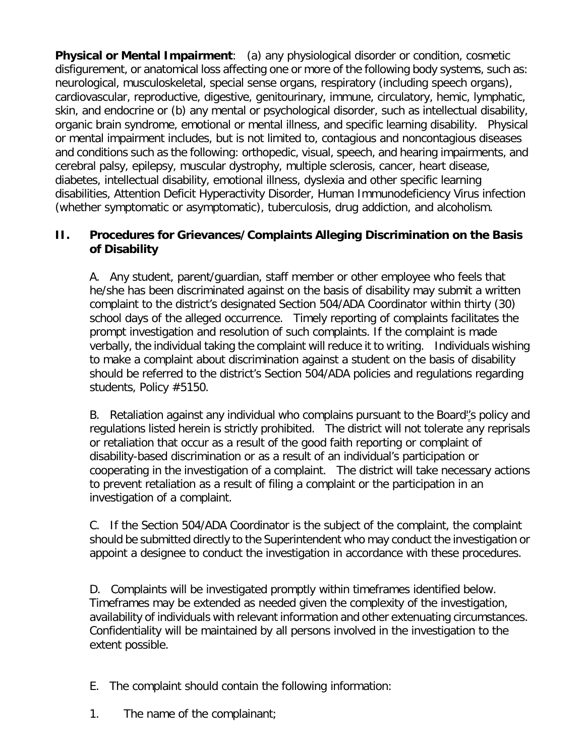**Physical or Mental Impairment**: (a) any physiological disorder or condition, cosmetic disfigurement, or anatomical loss affecting one or more of the following body systems, such as: neurological, musculoskeletal, special sense organs, respiratory (including speech organs), cardiovascular, reproductive, digestive, genitourinary, immune, circulatory, hemic, lymphatic, skin, and endocrine or (b) any mental or psychological disorder, such as intellectual disability, organic brain syndrome, emotional or mental illness, and specific learning disability. Physical or mental impairment includes, but is not limited to, contagious and noncontagious diseases and conditions such as the following: orthopedic, visual, speech, and hearing impairments, and cerebral palsy, epilepsy, muscular dystrophy, multiple sclerosis, cancer, heart disease, diabetes, intellectual disability, emotional illness, dyslexia and other specific learning disabilities, Attention Deficit Hyperactivity Disorder, Human Immunodeficiency Virus infection (whether symptomatic or asymptomatic), tuberculosis, drug addiction, and alcoholism.

## **II. Procedures for Grievances/Complaints Alleging Discrimination on the Basis of Disability**

A. Any student, parent/guardian, staff member or other employee who feels that he/she has been discriminated against on the basis of disability may submit a written complaint to the district's designated Section 504/ADA Coordinator within thirty (30) school days of the alleged occurrence. Timely reporting of complaints facilitates the prompt investigation and resolution of such complaints. If the complaint is made verbally, the individual taking the complaint will reduce it to writing. Individuals wishing to make a complaint about discrimination against a student on the basis of disability should be referred to the district's Section 504/ADA policies and regulations regarding students, Policy #5150.

B. Retaliation against any individual who complains pursuant to the Board''s policy and regulations listed herein is strictly prohibited. The district will not tolerate any reprisals or retaliation that occur as a result of the good faith reporting or complaint of disability-based discrimination or as a result of an individual's participation or cooperating in the investigation of a complaint. The district will take necessary actions to prevent retaliation as a result of filing a complaint or the participation in an investigation of a complaint.

C. If the Section 504/ADA Coordinator is the subject of the complaint, the complaint should be submitted directly to the Superintendent who may conduct the investigation or appoint a designee to conduct the investigation in accordance with these procedures.

D. Complaints will be investigated promptly within timeframes identified below. Timeframes may be extended as needed given the complexity of the investigation, availability of individuals with relevant information and other extenuating circumstances. Confidentiality will be maintained by all persons involved in the investigation to the extent possible.

- E. The complaint should contain the following information:
- 1. The name of the complainant;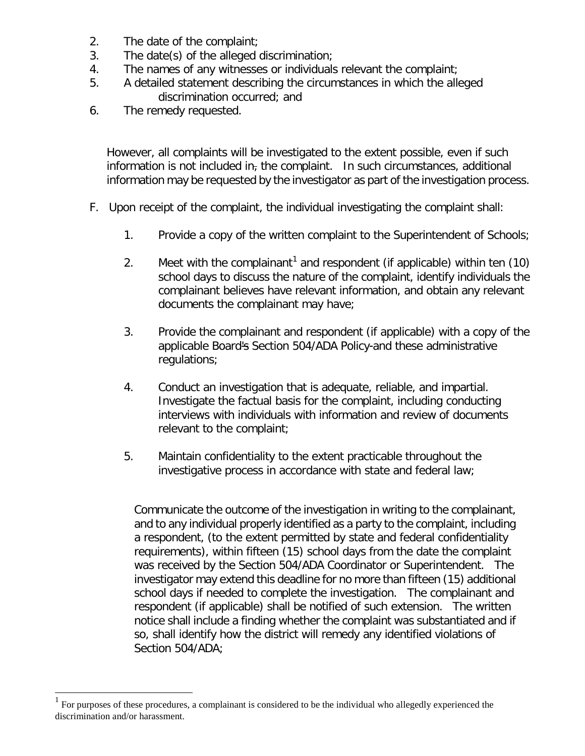- 2. The date of the complaint;
- 3. The date(s) of the alleged discrimination;
- 4. The names of any witnesses or individuals relevant the complaint;
- 5. A detailed statement describing the circumstances in which the alleged discrimination occurred; and
- 6. The remedy requested.

However, all complaints will be investigated to the extent possible, even if such information is not included in, the complaint. In such circumstances, additional information may be requested by the investigator as part of the investigation process.

- F. Upon receipt of the complaint, the individual investigating the complaint shall:
	- 1. Provide a copy of the written complaint to the Superintendent of Schools;
	- 2. Meet with the complainant<sup>[1](#page-4-0)</sup> and respondent (if applicable) within ten  $(10)$ school days to discuss the nature of the complaint, identify individuals the complainant believes have relevant information, and obtain any relevant documents the complainant may have;
	- 3. Provide the complainant and respondent (if applicable) with a copy of the applicable Board's Section 504/ADA Policy-and these administrative regulations;
	- 4. Conduct an investigation that is adequate, reliable, and impartial. Investigate the factual basis for the complaint, including conducting interviews with individuals with information and review of documents relevant to the complaint;
	- 5. Maintain confidentiality to the extent practicable throughout the investigative process in accordance with state and federal law;

Communicate the outcome of the investigation in writing to the complainant, and to any individual properly identified as a party to the complaint, including a respondent, (to the extent permitted by state and federal confidentiality requirements), within fifteen (15) school days from the date the complaint was received by the Section 504/ADA Coordinator or Superintendent. The investigator may extend this deadline for no more than fifteen (15) additional school days if needed to complete the investigation. The complainant and respondent (if applicable) shall be notified of such extension. The written notice shall include a finding whether the complaint was substantiated and if so, shall identify how the district will remedy any identified violations of Section 504/ADA;

<span id="page-4-0"></span> <sup>1</sup> For purposes of these procedures, a complainant is considered to be the individual who allegedly experienced the discrimination and/or harassment.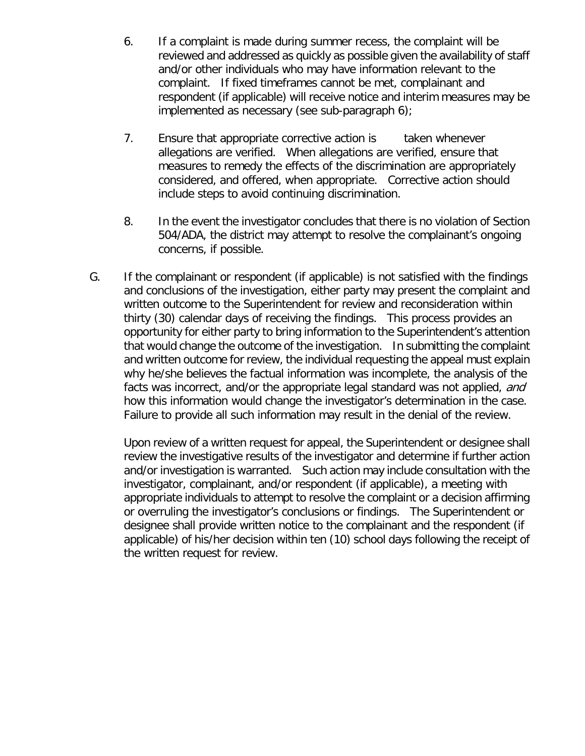- 6. If a complaint is made during summer recess, the complaint will be reviewed and addressed as quickly as possible given the availability of staff and/or other individuals who may have information relevant to the complaint. If fixed timeframes cannot be met, complainant and respondent (if applicable) will receive notice and interim measures may be implemented as necessary (see sub-paragraph 6);
- 7. Ensure that appropriate corrective action is taken whenever allegations are verified. When allegations are verified, ensure that measures to remedy the effects of the discrimination are appropriately considered, and offered, when appropriate. Corrective action should include steps to avoid continuing discrimination.
- 8. In the event the investigator concludes that there is no violation of Section 504/ADA, the district may attempt to resolve the complainant's ongoing concerns, if possible.
- G. If the complainant or respondent (if applicable) is not satisfied with the findings and conclusions of the investigation, either party may present the complaint and written outcome to the Superintendent for review and reconsideration within thirty (30) calendar days of receiving the findings. This process provides an opportunity for either party to bring information to the Superintendent's attention that would change the outcome of the investigation. In submitting the complaint and written outcome for review, the individual requesting the appeal must explain why he/she believes the factual information was incomplete, the analysis of the facts was incorrect, and/or the appropriate legal standard was not applied, and how this information would change the investigator's determination in the case. Failure to provide all such information may result in the denial of the review.

Upon review of a written request for appeal, the Superintendent or designee shall review the investigative results of the investigator and determine if further action and/or investigation is warranted. Such action may include consultation with the investigator, complainant, and/or respondent (if applicable), a meeting with appropriate individuals to attempt to resolve the complaint or a decision affirming or overruling the investigator's conclusions or findings. The Superintendent or designee shall provide written notice to the complainant and the respondent (if applicable) of his/her decision within ten (10) school days following the receipt of the written request for review.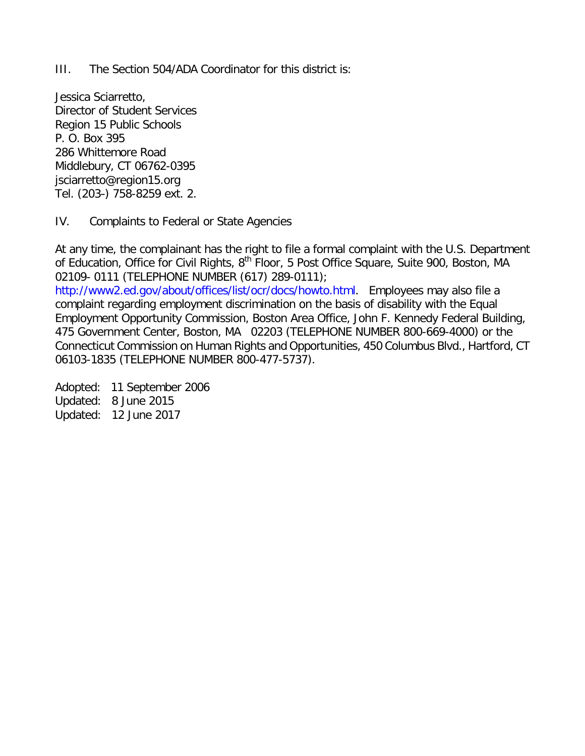III. The Section 504/ADA Coordinator for this district is:

Jessica Sciarretto, Director of Student Services Region 15 Public Schools P. O. Box 395 286 Whittemore Road Middlebury, CT 06762-0395 [jsciarretto@region15.org](mailto:jsciarretto@region15.org) Tel. (203-) 758-8259 ext. 2.

#### IV. Complaints to Federal or State Agencies

At any time, the complainant has the right to file a formal complaint with the U.S. Department of Education, Office for Civil Rights, 8<sup>th</sup> Floor, 5 Post Office Square, Suite 900, Boston, MA 02109- 0111 (TELEPHONE NUMBER (617) 289-0111);

[http://www2.ed.gov/about/offices/list/ocr/docs/howto.html.](http://www2.ed.gov/about/offices/list/ocr/docs/howto.html) Employees may also file a complaint regarding employment discrimination on the basis of disability with the Equal Employment Opportunity Commission, Boston Area Office, John F. Kennedy Federal Building, 475 Government Center, Boston, MA 02203 (TELEPHONE NUMBER 800-669-4000) or the Connecticut Commission on Human Rights and Opportunities, 450 Columbus Blvd., Hartford, CT 06103-1835 (TELEPHONE NUMBER 800-477-5737).

Adopted: 11 September 2006 Updated: 8 June 2015 Updated: 12 June 2017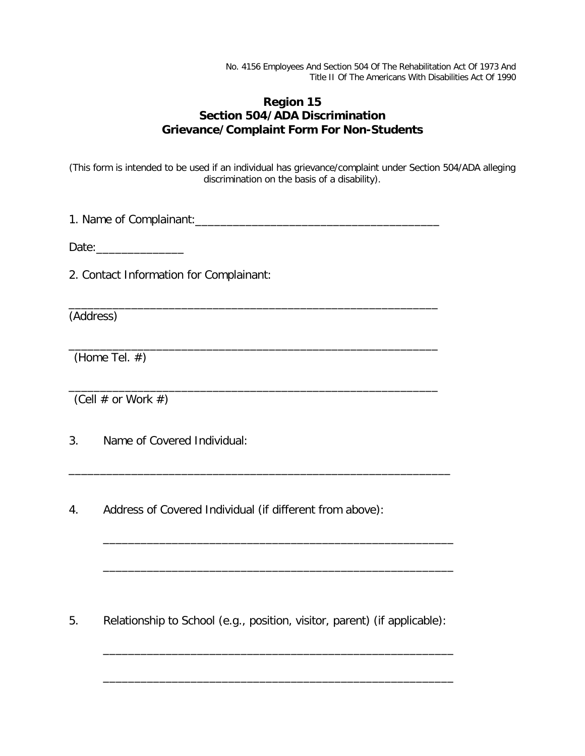No. 4156 Employees And Section 504 Of The Rehabilitation Act Of 1973 And Title II Of The Americans With Disabilities Act Of 1990

## **Region 15 Section 504/ADA Discrimination Grievance/Complaint Form For Non-Students**

(This form is intended to be used if an individual has grievance/complaint under Section 504/ADA alleging discrimination on the basis of a disability).

1. Name of Complainant:\_\_\_\_\_\_\_\_\_\_\_\_\_\_\_\_\_\_\_\_\_\_\_\_\_\_\_\_\_\_\_\_\_\_\_\_\_\_\_

\_\_\_\_\_\_\_\_\_\_\_\_\_\_\_\_\_\_\_\_\_\_\_\_\_\_\_\_\_\_\_\_\_\_\_\_\_\_\_\_\_\_\_\_\_\_\_\_\_\_\_\_\_\_\_\_\_\_\_

\_\_\_\_\_\_\_\_\_\_\_\_\_\_\_\_\_\_\_\_\_\_\_\_\_\_\_\_\_\_\_\_\_\_\_\_\_\_\_\_\_\_\_\_\_\_\_\_\_\_\_\_\_\_\_\_\_\_\_

\_\_\_\_\_\_\_\_\_\_\_\_\_\_\_\_\_\_\_\_\_\_\_\_\_\_\_\_\_\_\_\_\_\_\_\_\_\_\_\_\_\_\_\_\_\_\_\_\_\_\_\_\_\_\_\_\_\_\_

\_\_\_\_\_\_\_\_\_\_\_\_\_\_\_\_\_\_\_\_\_\_\_\_\_\_\_\_\_\_\_\_\_\_\_\_\_\_\_\_\_\_\_\_\_\_\_\_\_\_\_\_\_\_\_\_\_\_\_\_\_

\_\_\_\_\_\_\_\_\_\_\_\_\_\_\_\_\_\_\_\_\_\_\_\_\_\_\_\_\_\_\_\_\_\_\_\_\_\_\_\_\_\_\_\_\_\_\_\_\_\_\_\_\_\_\_\_

\_\_\_\_\_\_\_\_\_\_\_\_\_\_\_\_\_\_\_\_\_\_\_\_\_\_\_\_\_\_\_\_\_\_\_\_\_\_\_\_\_\_\_\_\_\_\_\_\_\_\_\_\_\_\_\_

\_\_\_\_\_\_\_\_\_\_\_\_\_\_\_\_\_\_\_\_\_\_\_\_\_\_\_\_\_\_\_\_\_\_\_\_\_\_\_\_\_\_\_\_\_\_\_\_\_\_\_\_\_\_\_\_

\_\_\_\_\_\_\_\_\_\_\_\_\_\_\_\_\_\_\_\_\_\_\_\_\_\_\_\_\_\_\_\_\_\_\_\_\_\_\_\_\_\_\_\_\_\_\_\_\_\_\_\_\_\_\_\_

Date:\_\_\_\_\_\_\_\_\_\_\_\_\_\_

2. Contact Information for Complainant:

(Address)

(Home Tel. #)

(Cell  $\#$  or Work  $\#$ )

3. Name of Covered Individual:

4. Address of Covered Individual (if different from above):

5. Relationship to School (e.g., position, visitor, parent) (if applicable):